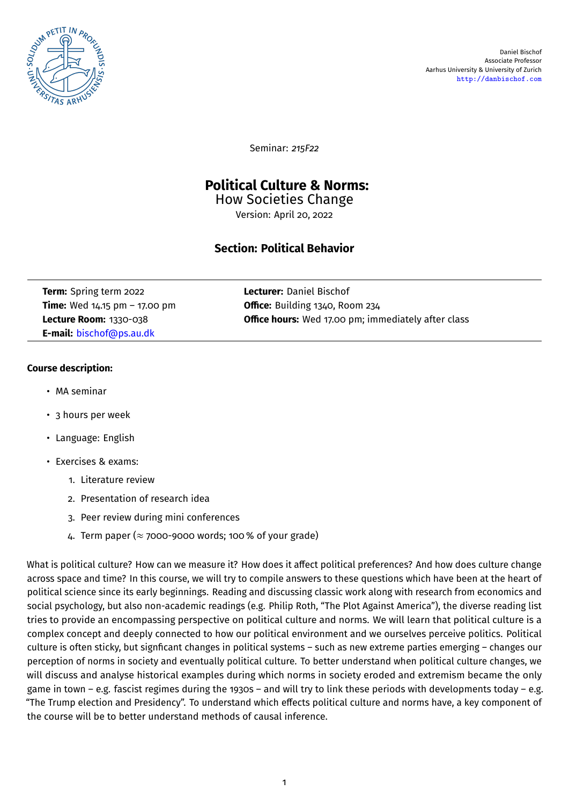

Seminar: *215F22*

# **Political Culture & Norms:**

How Societies Change Version: April 20, 2022

# **Section: Political Behavior**

**Term:** Spring term 2022 **Lecturer:** Daniel Bischof **E-mail:** [bischof@ps.au.dk](mailto:bischof@ps.au.dk)

**Time:** Wed 14.15 pm – 17.00 pm **Office:** Building 1340, Room 234 **Lecture Room:** 1330-038 **Office hours:** Wed 17.00 pm; immediately after class

## **Course description:**

- MA seminar
- 3 hours per week
- Language: English
- Exercises & exams:
	- 1. Literature review
	- 2. Presentation of research idea
	- 3. Peer review during mini conferences
	- 4. Term paper ( $\approx$  7000-9000 words; 100 % of your grade)

What is political culture? How can we measure it? How does it affect political preferences? And how does culture change across space and time? In this course, we will try to compile answers to these questions which have been at the heart of political science since its early beginnings. Reading and discussing classic work along with research from economics and social psychology, but also non-academic readings (e.g. Philip Roth, "The Plot Against America"), the diverse reading list tries to provide an encompassing perspective on political culture and norms. We will learn that political culture is a complex concept and deeply connected to how our political environment and we ourselves perceive politics. Political culture is often sticky, but signficant changes in political systems – such as new extreme parties emerging – changes our perception of norms in society and eventually political culture. To better understand when political culture changes, we will discuss and analyse historical examples during which norms in society eroded and extremism became the only game in town – e.g. fascist regimes during the 1930s – and will try to link these periods with developments today – e.g. "The Trump election and Presidency". To understand which effects political culture and norms have, a key component of the course will be to better understand methods of causal inference.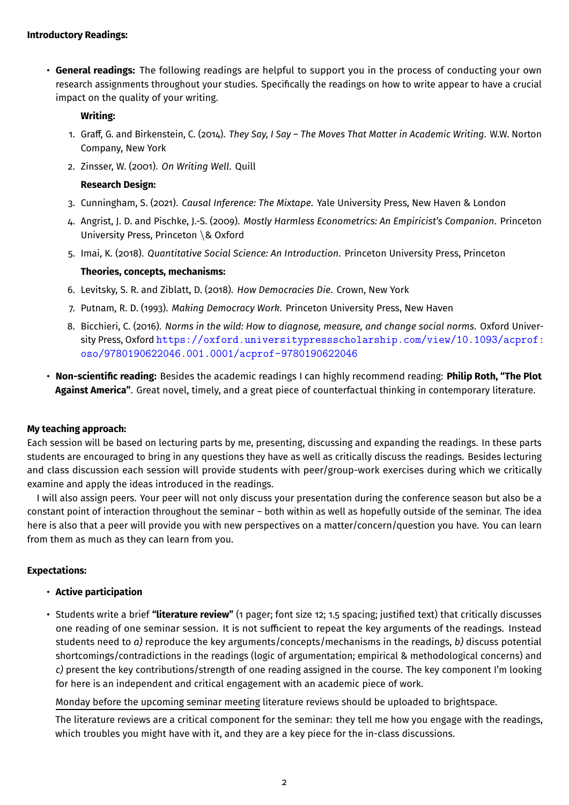• **General readings:** The following readings are helpful to support you in the process of conducting your own research assignments throughout your studies. Specifically the readings on how to write appear to have a crucial impact on the quality of your writing.

### **Writing:**

- 1. Graff, G. and Birkenstein, C. (2014). *They Say, I Say The Moves That Matter in Academic Writing*. W.W. Norton Company, New York
- 2. Zinsser, W. (2001). *On Writing Well*. Quill

### **Research Design:**

- 3. Cunningham, S. (2021). *Causal Inference: The Mixtape*. Yale University Press, New Haven & London
- 4. Angrist, J. D. and Pischke, J.-S. (2009). *Mostly Harmless Econometrics: An Empiricist's Companion*. Princeton University Press, Princeton \& Oxford
- 5. Imai, K. (2018). *Quantitative Social Science: An Introduction*. Princeton University Press, Princeton

### **Theories, concepts, mechanisms:**

- 6. Levitsky, S. R. and Ziblatt, D. (2018). *How Democracies Die*. Crown, New York
- 7. Putnam, R. D. (1993). *Making Democracy Work*. Princeton University Press, New Haven
- 8. Bicchieri, C. (2016). *Norms in the wild: How to diagnose, measure, and change social norms*. Oxford University Press, Oxford [https://oxford.universitypressscholarship.com/view/10.1093/acprof:](https://oxford.universitypressscholarship.com/view/10.1093/acprof:oso/9780190622046.001.0001/acprof-9780190622046) [oso/9780190622046.001.0001/acprof-9780190622046](https://oxford.universitypressscholarship.com/view/10.1093/acprof:oso/9780190622046.001.0001/acprof-9780190622046)
- **Non-scientific reading:** Besides the academic readings I can highly recommend reading: **Philip Roth, "The Plot Against America"**. Great novel, timely, and a great piece of counterfactual thinking in contemporary literature.

#### **My teaching approach:**

Each session will be based on lecturing parts by me, presenting, discussing and expanding the readings. In these parts students are encouraged to bring in any questions they have as well as critically discuss the readings. Besides lecturing and class discussion each session will provide students with peer/group-work exercises during which we critically examine and apply the ideas introduced in the readings.

I will also assign peers. Your peer will not only discuss your presentation during the conference season but also be a constant point of interaction throughout the seminar – both within as well as hopefully outside of the seminar. The idea here is also that a peer will provide you with new perspectives on a matter/concern/question you have. You can learn from them as much as they can learn from you.

#### **Expectations:**

- **Active participation**
- Students write a brief **"literature review"** (1 pager; font size 12; 1.5 spacing; justified text) that critically discusses one reading of one seminar session. It is not sufficient to repeat the key arguments of the readings. Instead students need to *a)* reproduce the key arguments/concepts/mechanisms in the readings, *b)* discuss potential shortcomings/contradictions in the readings (logic of argumentation; empirical & methodological concerns) and *c)* present the key contributions/strength of one reading assigned in the course. The key component I'm looking for here is an independent and critical engagement with an academic piece of work.

Monday before the upcoming seminar meeting literature reviews should be uploaded to brightspace.

The literature reviews are a critical component for the seminar: they tell me how you engage with the readings, which troubles you might have with it, and they are a key piece for the in-class discussions.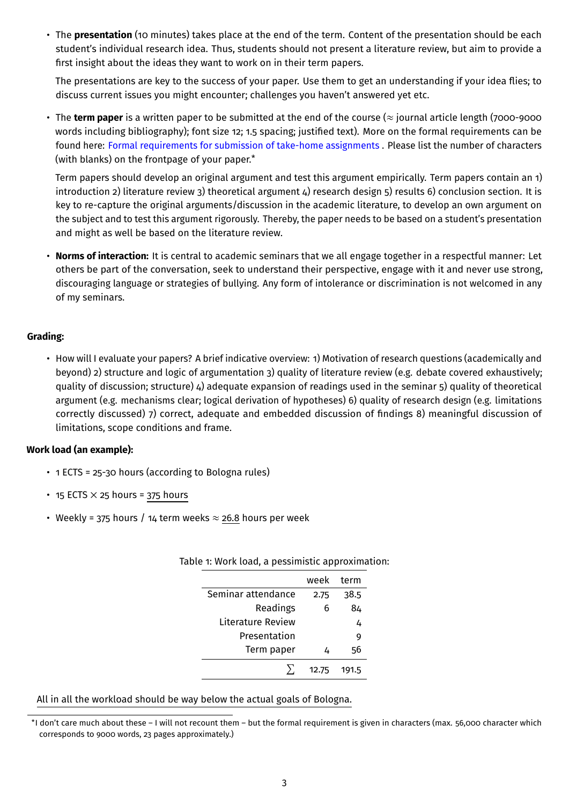• The **presentation** (10 minutes) takes place at the end of the term. Content of the presentation should be each student's individual research idea. Thus, students should not present a literature review, but aim to provide a first insight about the ideas they want to work on in their term papers.

The presentations are key to the success of your paper. Use them to get an understanding if your idea flies; to discuss current issues you might encounter; challenges you haven't answered yet etc.

• The **term paper** is a written paper to be submitted at the end of the course (≈ journal article length (7000-9000 words including bibliography); font size 12; 1.5 spacing; justified text). More on the formal requirements can be found here: [Formal requirements for submission of take-home assignments](https://studerende.au.dk/en/studies/subject-portals/political-science/exam/types-of-examination-and-formal-requirements/formal-requirements-for-submission-of-take-home-assignments) . Please list the number of characters (with blanks) on the frontpage of your paper.[\\*](#page-13-0)

Term papers should develop an original argument and test this argument empirically. Term papers contain an 1) introduction 2) literature review 3) theoretical argument 4) research design 5) results 6) conclusion section. It is key to re-capture the original arguments/discussion in the academic literature, to develop an own argument on the subject and to test this argument rigorously. Thereby, the paper needs to be based on a student's presentation and might as well be based on the literature review.

• **Norms of interaction:** It is central to academic seminars that we all engage together in a respectful manner: Let others be part of the conversation, seek to understand their perspective, engage with it and never use strong, discouraging language or strategies of bullying. Any form of intolerance or discrimination is not welcomed in any of my seminars.

## **Grading:**

• How will I evaluate your papers? A brief indicative overview: 1) Motivation of research questions (academically and beyond) 2) structure and logic of argumentation 3) quality of literature review (e.g. debate covered exhaustively; quality of discussion; structure) 4) adequate expansion of readings used in the seminar 5) quality of theoretical argument (e.g. mechanisms clear; logical derivation of hypotheses) 6) quality of research design (e.g. limitations correctly discussed) 7) correct, adequate and embedded discussion of findings 8) meaningful discussion of limitations, scope conditions and frame.

#### **Work load (an example):**

- 1 ECTS = 25-30 hours (according to Bologna rules)
- 15 ECTS  $\times$  25 hours = 375 hours
- Weekly = 375 hours / 14 term weeks  $\approx$  26.8 hours per week

|                    | week  | term  |
|--------------------|-------|-------|
| Seminar attendance | 2.75  | 38.5  |
| Readings           | 6     | 84    |
| Literature Review  |       | 4     |
| Presentation       |       | 9     |
| Term paper         | 4     | 56    |
|                    | 12.75 | 191.5 |

#### Table 1: Work load, a pessimistic approximation:

All in all the workload should be way below the actual goals of Bologna.

<sup>\*</sup>I don't care much about these – I will not recount them – but the formal requirement is given in characters (max. 56,000 character which corresponds to 9000 words, 23 pages approximately.)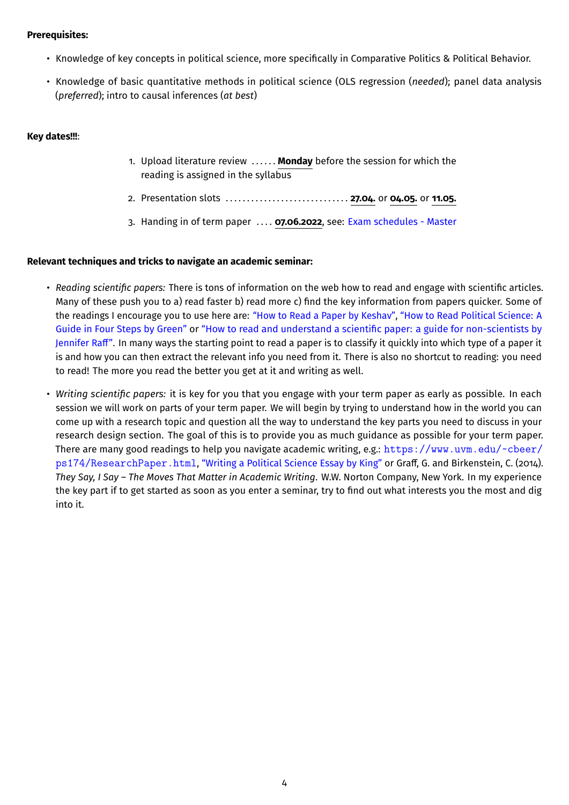### **Prerequisites:**

- Knowledge of key concepts in political science, more specifically in Comparative Politics & Political Behavior.
- Knowledge of basic quantitative methods in political science (OLS regression (*needed*); panel data analysis (*preferred*); intro to causal inferences (*at best*)

### **Key dates!!!**:

- 1. Upload literature review . . . . . . **Monday** before the session for which the reading is assigned in the syllabus
- 2. Presentation slots . . . . . . . . . . . . . . . . . . . . . . . . . . . . . **27.04.** or **04.05.** or **11.05.**
- 3. Handing in of term paper . . . . **07.06.2022**, see: [Exam schedules Master](https://studerende.au.dk/en/studies/subject-portals/political-science/exam/exam-schedules/exam-schedules-master/)

#### **Relevant techniques and tricks to navigate an academic seminar:**

- *Reading scientific papers:* There is tons of information on the web how to read and engage with scientific articles. Many of these push you to a) read faster b) read more c) find the key information from papers quicker. Some of the readings I encourage you to use here are: ["How to Read a Paper by Keshav",](https://web.stanford.edu/class/ee384m/Handouts/HowtoReadPaper.pdf) ["How to Read Political Science: A](https://www.ameliahoovergreen.com/uploads/9/3/0/9/93091546/howtoread.pdf) [Guide in Four Steps by Green"](https://www.ameliahoovergreen.com/uploads/9/3/0/9/93091546/howtoread.pdf) or ["How to read and understand a scientific paper: a guide for non-scientists by](https://blogs.lse.ac.uk/impactofsocialsciences/2016/05/09/how-to-read-and-understand-a-scientific-paper-a-guide-for-non-scientists/) [Jennifer Raff".](https://blogs.lse.ac.uk/impactofsocialsciences/2016/05/09/how-to-read-and-understand-a-scientific-paper-a-guide-for-non-scientists/) In many ways the starting point to read a paper is to classify it quickly into which type of a paper it is and how you can then extract the relevant info you need from it. There is also no shortcut to reading: you need to read! The more you read the better you get at it and writing as well.
- *Writing scientific papers:* it is key for you that you engage with your term paper as early as possible. In each session we will work on parts of your term paper. We will begin by trying to understand how in the world you can come up with a research topic and question all the way to understand the key parts you need to discuss in your research design section. The goal of this is to provide you as much guidance as possible for your term paper. There are many good readings to help you navigate academic writing, e.g.: [https://www.uvm.edu/~cbeer/](https://www.uvm.edu/~cbeer/ps174/ResearchPaper.html) [ps174/ResearchPaper.html](https://www.uvm.edu/~cbeer/ps174/ResearchPaper.html), ["Writing a Political Science Essay by King"](https://faculty.georgetown.edu/kingch/Writing_PolSci_Essay.htm) or Graff, G. and Birkenstein, C. (2014). *They Say, I Say – The Moves That Matter in Academic Writing*. W.W. Norton Company, New York. In my experience the key part if to get started as soon as you enter a seminar, try to find out what interests you the most and dig into it.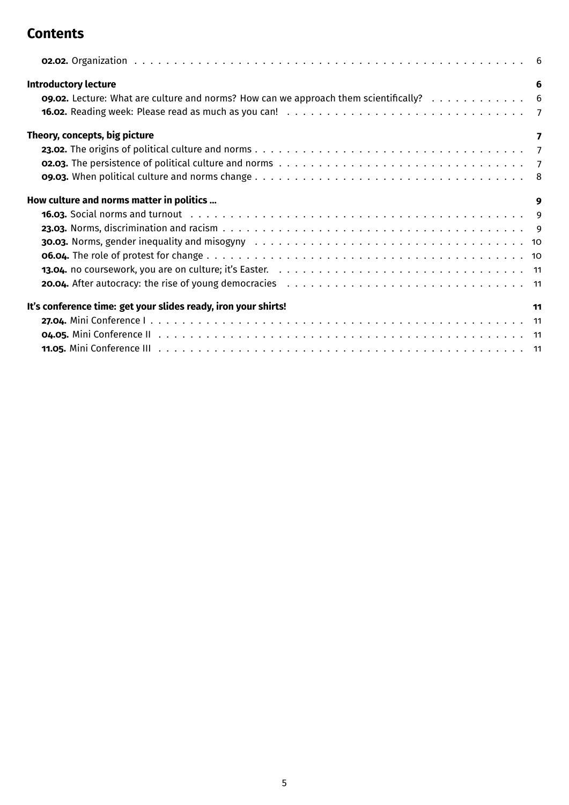# **Contents**

| <b>Introductory lecture</b>                                                                                                           | 6                       |
|---------------------------------------------------------------------------------------------------------------------------------------|-------------------------|
| <b>o9.02.</b> Lecture: What are culture and norms? How can we approach them scientifically? $\ldots$ , $\ldots$ , $\ldots$ , $\ldots$ |                         |
|                                                                                                                                       |                         |
| Theory, concepts, big picture                                                                                                         | $\overline{\mathbf{z}}$ |
|                                                                                                                                       |                         |
|                                                                                                                                       |                         |
|                                                                                                                                       |                         |
| How culture and norms matter in politics                                                                                              | 9                       |
|                                                                                                                                       |                         |
|                                                                                                                                       |                         |
|                                                                                                                                       |                         |
|                                                                                                                                       |                         |
|                                                                                                                                       |                         |
|                                                                                                                                       |                         |
| It's conference time: get your slides ready, iron your shirts!                                                                        | 11                      |
|                                                                                                                                       |                         |
|                                                                                                                                       |                         |
|                                                                                                                                       |                         |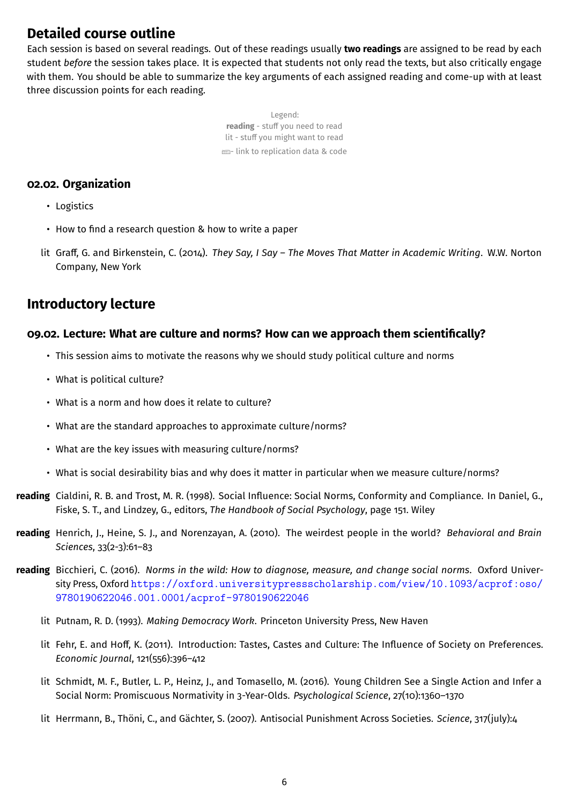# **Detailed course outline**

Each session is based on several readings. Out of these readings usually **two readings** are assigned to be read by each student *before* the session takes place. It is expected that students not only read the texts, but also critically engage with them. You should be able to summarize the key arguments of each assigned reading and come-up with at least three discussion points for each reading.

> Legend: **reading** - stuff you need to read lit - stuff you might want to read  $\equiv$ - link to replication data & code

## <span id="page-5-0"></span>**02.02. Organization**

- Logistics
- How to find a research question & how to write a paper
- lit Graff, G. and Birkenstein, C. (2014). *They Say, I Say The Moves That Matter in Academic Writing*. W.W. Norton Company, New York

# <span id="page-5-1"></span>**Introductory lecture**

## <span id="page-5-2"></span>**09.02. Lecture: What are culture and norms? How can we approach them scientifically?**

- This session aims to motivate the reasons why we should study political culture and norms
- What is political culture?
- What is a norm and how does it relate to culture?
- What are the standard approaches to approximate culture/norms?
- What are the key issues with measuring culture/norms?
- What is social desirability bias and why does it matter in particular when we measure culture/norms?
- **reading** Cialdini, R. B. and Trost, M. R. (1998). Social Influence: Social Norms, Conformity and Compliance. In Daniel, G., Fiske, S. T., and Lindzey, G., editors, *The Handbook of Social Psychology*, page 151. Wiley
- **reading** Henrich, J., Heine, S. J., and Norenzayan, A. (2010). The weirdest people in the world? *Behavioral and Brain Sciences*, 33(2-3):61–83
- **reading** Bicchieri, C. (2016). *Norms in the wild: How to diagnose, measure, and change social norms*. Oxford University Press, Oxford [https://oxford.universitypressscholarship.com/view/10.1093/acprof:oso/](https://oxford.universitypressscholarship.com/view/10.1093/acprof:oso/9780190622046.001.0001/acprof-9780190622046) [9780190622046.001.0001/acprof-9780190622046](https://oxford.universitypressscholarship.com/view/10.1093/acprof:oso/9780190622046.001.0001/acprof-9780190622046)
	- lit Putnam, R. D. (1993). *Making Democracy Work*. Princeton University Press, New Haven
	- lit Fehr, E. and Hoff, K. (2011). Introduction: Tastes, Castes and Culture: The Influence of Society on Preferences. *Economic Journal*, 121(556):396–412
	- lit Schmidt, M. F., Butler, L. P., Heinz, J., and Tomasello, M. (2016). Young Children See a Single Action and Infer a Social Norm: Promiscuous Normativity in 3-Year-Olds. *Psychological Science*, 27(10):1360–1370
	- lit Herrmann, B., Thöni, C., and Gächter, S. (2007). Antisocial Punishment Across Societies. *Science*, 317(july):4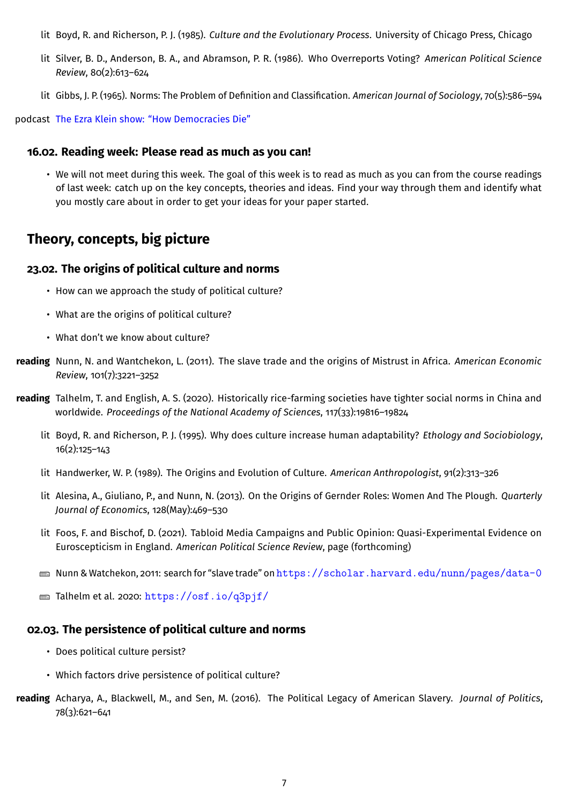- lit Boyd, R. and Richerson, P. J. (1985). *Culture and the Evolutionary Process*. University of Chicago Press, Chicago
- lit Silver, B. D., Anderson, B. A., and Abramson, P. R. (1986). Who Overreports Voting? *American Political Science Review*, 80(2):613–624
- lit Gibbs, J. P. (1965). Norms: The Problem of Definition and Classification. *American Journal of Sociology*, 70(5):586–594

podcast [The Ezra Klein show: "How Democracies Die"](http://pca.st/8Msw)

## <span id="page-6-0"></span>**16.02. Reading week: Please read as much as you can!**

• We will not meet during this week. The goal of this week is to read as much as you can from the course readings of last week: catch up on the key concepts, theories and ideas. Find your way through them and identify what you mostly care about in order to get your ideas for your paper started.

# <span id="page-6-1"></span>**Theory, concepts, big picture**

## <span id="page-6-2"></span>**23.02. The origins of political culture and norms**

- How can we approach the study of political culture?
- What are the origins of political culture?
- What don't we know about culture?
- **reading** Nunn, N. and Wantchekon, L. (2011). The slave trade and the origins of Mistrust in Africa. *American Economic Review*, 101(7):3221–3252
- **reading** Talhelm, T. and English, A. S. (2020). Historically rice-farming societies have tighter social norms in China and worldwide. *Proceedings of the National Academy of Sciences*, 117(33):19816–19824
	- lit Boyd, R. and Richerson, P. J. (1995). Why does culture increase human adaptability? *Ethology and Sociobiology*, 16(2):125–143
	- lit Handwerker, W. P. (1989). The Origins and Evolution of Culture. *American Anthropologist*, 91(2):313–326
	- lit Alesina, A., Giuliano, P., and Nunn, N. (2013). On the Origins of Gernder Roles: Women And The Plough. *Quarterly Journal of Economics*, 128(May):469–530
	- lit Foos, F. and Bischof, D. (2021). Tabloid Media Campaigns and Public Opinion: Quasi-Experimental Evidence on Euroscepticism in England. *American Political Science Review*, page (forthcoming)
	- $\equiv$  Nunn & Watchekon, 2011: search for "slave trade" on <https://scholar.harvard.edu/nunn/pages/data-0>
	- $\equiv$  Talhelm et al. 2020: <https://osf.io/q3pjf/>

# <span id="page-6-3"></span>**02.03. The persistence of political culture and norms**

- Does political culture persist?
- Which factors drive persistence of political culture?
- **reading** Acharya, A., Blackwell, M., and Sen, M. (2016). The Political Legacy of American Slavery. *Journal of Politics*, 78(3):621–641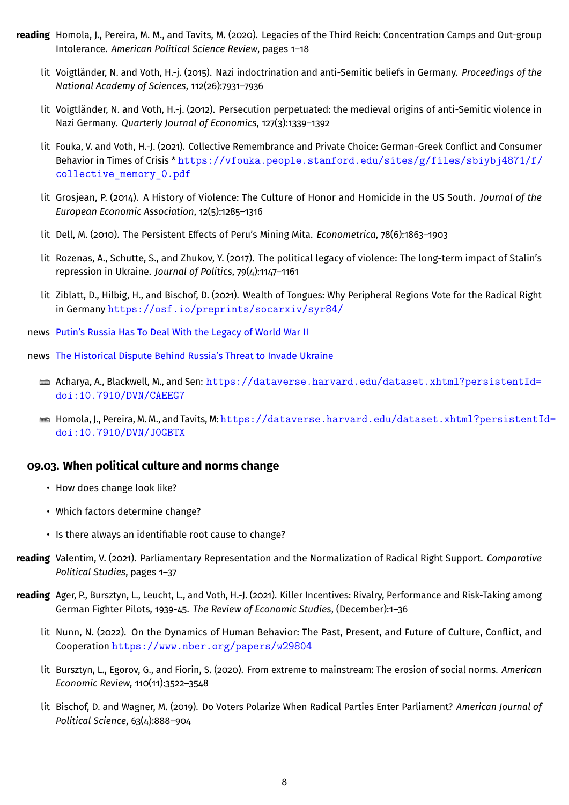- **reading** Homola, J., Pereira, M. M., and Tavits, M. (2020). Legacies of the Third Reich: Concentration Camps and Out-group Intolerance. *American Political Science Review*, pages 1–18
	- lit Voigtländer, N. and Voth, H.-j. (2015). Nazi indoctrination and anti-Semitic beliefs in Germany. *Proceedings of the National Academy of Sciences*, 112(26):7931–7936
	- lit Voigtländer, N. and Voth, H.-j. (2012). Persecution perpetuated: the medieval origins of anti-Semitic violence in Nazi Germany. *Quarterly Journal of Economics*, 127(3):1339–1392
	- lit Fouka, V. and Voth, H.-J. (2021). Collective Remembrance and Private Choice: German-Greek Conflict and Consumer Behavior in Times of Crisis \* [https://vfouka.people.stanford.edu/sites/g/files/sbiybj4871/f/](https://vfouka.people.stanford.edu/sites/g/files/sbiybj4871/f/collective_memory_0.pdf) collective memory 0.pdf
	- lit Grosjean, P. (2014). A History of Violence: The Culture of Honor and Homicide in the US South. *Journal of the European Economic Association*, 12(5):1285–1316
	- lit Dell, M. (2010). The Persistent Effects of Peru's Mining Mita. *Econometrica*, 78(6):1863–1903
	- lit Rozenas, A., Schutte, S., and Zhukov, Y. (2017). The political legacy of violence: The long-term impact of Stalin's repression in Ukraine. *Journal of Politics*, 79(4):1147–1161
	- lit Ziblatt, D., Hilbig, H., and Bischof, D. (2021). Wealth of Tongues: Why Peripheral Regions Vote for the Radical Right in Germany <https://osf.io/preprints/socarxiv/syr84/>
	- news [Putin's Russia Has To Deal With the Legacy of World War II](https://time.com/3852689/ussr-russia-victory-day-wwii-putin-ukraine/)
	- news [The Historical Dispute Behind Russia's Threat to Invade Ukraine](https://www.newyorker.com/news/news-desk/the-historical-dispute-behind-russias-threat-to-invade-ukraine)
		- Acharya, A., Blackwell, M., and Sen: [https://dataverse.harvard.edu/dataset.xhtml?persistentId=](https://dataverse.harvard.edu/dataset.xhtml?persistentId=doi:10.7910/DVN/CAEEG7) [doi:10.7910/DVN/CAEEG7](https://dataverse.harvard.edu/dataset.xhtml?persistentId=doi:10.7910/DVN/CAEEG7)
		- Homola, J., Pereira, M. M., and Tavits, M: [https://dataverse.harvard.edu/dataset.xhtml?persistentI](https://dataverse.harvard.edu/dataset.xhtml?persistentId=doi:10.7910/DVN/J0GBTX)d= [doi:10.7910/DVN/J0GBTX](https://dataverse.harvard.edu/dataset.xhtml?persistentId=doi:10.7910/DVN/J0GBTX)

## <span id="page-7-0"></span>**09.03. When political culture and norms change**

- How does change look like?
- Which factors determine change?
- Is there always an identifiable root cause to change?
- **reading** Valentim, V. (2021). Parliamentary Representation and the Normalization of Radical Right Support. *Comparative Political Studies*, pages 1–37
- **reading** Ager, P., Bursztyn, L., Leucht, L., and Voth, H.-J. (2021). Killer Incentives: Rivalry, Performance and Risk-Taking among German Fighter Pilots, 1939-45. *The Review of Economic Studies*, (December):1–36
	- lit Nunn, N. (2022). On the Dynamics of Human Behavior: The Past, Present, and Future of Culture, Conflict, and Cooperation <https://www.nber.org/papers/w29804>
	- lit Bursztyn, L., Egorov, G., and Fiorin, S. (2020). From extreme to mainstream: The erosion of social norms. *American Economic Review*, 110(11):3522–3548
	- lit Bischof, D. and Wagner, M. (2019). Do Voters Polarize When Radical Parties Enter Parliament? *American Journal of Political Science*, 63(4):888–904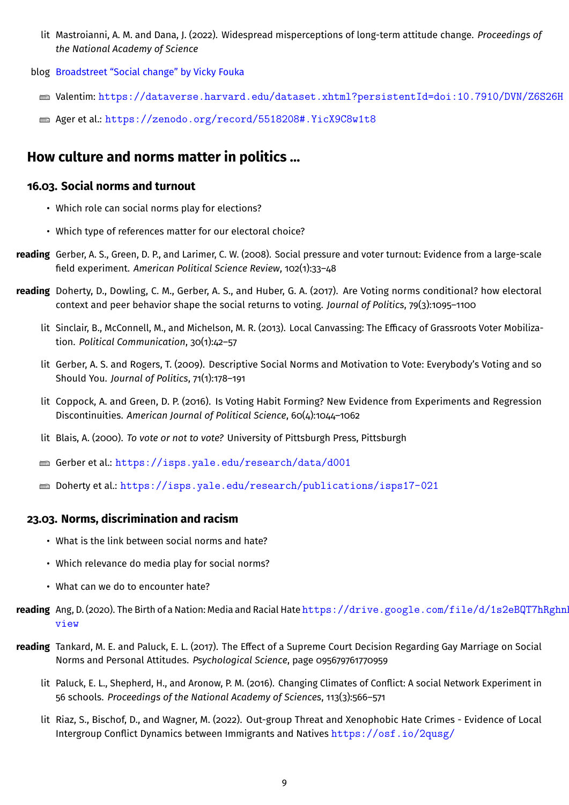- lit Mastroianni, A. M. and Dana, J. (2022). Widespread misperceptions of long-term attitude change. *Proceedings of the National Academy of Science*
- blog [Broadstreet "Social change" by Vicky Fouka](https://broadstreet.blog/2020/11/13/social-change/)
	- Valentim: <https://dataverse.harvard.edu/dataset.xhtml?persistentId=doi:10.7910/DVN/Z6S26H>
	- $\equiv$  Ager et al.: <https://zenodo.org/record/5518208#.YicX9C8w1t8>

# <span id="page-8-0"></span>**How culture and norms matter in politics …**

### <span id="page-8-1"></span>**16.03. Social norms and turnout**

- Which role can social norms play for elections?
- Which type of references matter for our electoral choice?
- **reading** Gerber, A. S., Green, D. P., and Larimer, C. W. (2008). Social pressure and voter turnout: Evidence from a large-scale field experiment. *American Political Science Review*, 102(1):33–48
- **reading** Doherty, D., Dowling, C. M., Gerber, A. S., and Huber, G. A. (2017). Are Voting norms conditional? how electoral context and peer behavior shape the social returns to voting. *Journal of Politics*, 79(3):1095–1100
	- lit Sinclair, B., McConnell, M., and Michelson, M. R. (2013). Local Canvassing: The Efficacy of Grassroots Voter Mobilization. *Political Communication*, 30(1):42–57
	- lit Gerber, A. S. and Rogers, T. (2009). Descriptive Social Norms and Motivation to Vote: Everybody's Voting and so Should You. *Journal of Politics*, 71(1):178–191
	- lit Coppock, A. and Green, D. P. (2016). Is Voting Habit Forming? New Evidence from Experiments and Regression Discontinuities. *American Journal of Political Science*, 60(4):1044–1062
	- lit Blais, A. (2000). *To vote or not to vote?* University of Pittsburgh Press, Pittsburgh
	- Gerber et al.: <https://isps.yale.edu/research/data/d001>
	- Doherty et al.: <https://isps.yale.edu/research/publications/isps17-021>

## <span id="page-8-2"></span>**23.03. Norms, discrimination and racism**

- What is the link between social norms and hate?
- Which relevance do media play for social norms?
- What can we do to encounter hate?
- reading Ang, D. (2020). The Birth of a Nation: Media and Racial Hate [https://drive.google.com/file/d/1s2eBQT7h](https://drive.google.com/file/d/1s2eBQT7hRghnhlbSlMIDZT4RqEkImT3j/view)Rghnl [view](https://drive.google.com/file/d/1s2eBQT7hRghnhlbSlMIDZT4RqEkImT3j/view)
- **reading** Tankard, M. E. and Paluck, E. L. (2017). The Effect of a Supreme Court Decision Regarding Gay Marriage on Social Norms and Personal Attitudes. *Psychological Science*, page 095679761770959
	- lit Paluck, E. L., Shepherd, H., and Aronow, P. M. (2016). Changing Climates of Conflict: A social Network Experiment in 56 schools. *Proceedings of the National Academy of Sciences*, 113(3):566–571
	- lit Riaz, S., Bischof, D., and Wagner, M. (2022). Out-group Threat and Xenophobic Hate Crimes Evidence of Local Intergroup Conflict Dynamics between Immigrants and Natives <https://osf.io/2qusg/>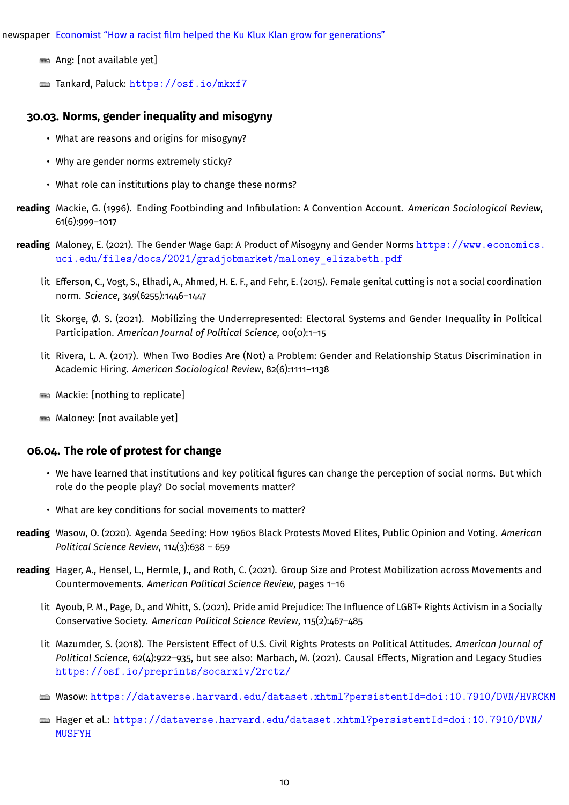newspaper [Economist "How a racist film helped the Ku Klux Klan grow for generations"](https://www.economist.com/graphic-detail/2021/03/27/how-a-racist-film-helped-the-ku-klux-klan-grow-for-generations)

- $\equiv$  Ang: [not available yet]
- $\equiv$  Tankard, Paluck: <https://osf.io/mkxf7>

### <span id="page-9-0"></span>**30.03. Norms, gender inequality and misogyny**

- What are reasons and origins for misogyny?
- Why are gender norms extremely sticky?
- What role can institutions play to change these norms?
- **reading** Mackie, G. (1996). Ending Footbinding and Infibulation: A Convention Account. *American Sociological Review*, 61(6):999–1017
- **reading** Maloney, E. (2021). The Gender Wage Gap: A Product of Misogyny and Gender Norms [https://www.economics.](https://www.economics.uci.edu/files/docs/2021/gradjobmarket/maloney_elizabeth.pdf) [uci.edu/files/docs/2021/gradjobmarket/maloney\\_elizabeth.pdf](https://www.economics.uci.edu/files/docs/2021/gradjobmarket/maloney_elizabeth.pdf)
	- lit Efferson, C., Vogt, S., Elhadi, A., Ahmed, H. E. F., and Fehr, E. (2015). Female genital cutting is not a social coordination norm. *Science*, 349(6255):1446–1447
	- lit Skorge, Ø. S. (2021). Mobilizing the Underrepresented: Electoral Systems and Gender Inequality in Political Participation. *American Journal of Political Science*, 00(0):1–15
	- lit Rivera, L. A. (2017). When Two Bodies Are (Not) a Problem: Gender and Relationship Status Discrimination in Academic Hiring. *American Sociological Review*, 82(6):1111–1138
	- $\blacksquare$  Mackie: [nothing to replicate]
	- $\equiv$  Maloney: [not available yet]

#### <span id="page-9-1"></span>**06.04. The role of protest for change**

- We have learned that institutions and key political figures can change the perception of social norms. But which role do the people play? Do social movements matter?
- What are key conditions for social movements to matter?
- **reading** Wasow, O. (2020). Agenda Seeding: How 1960s Black Protests Moved Elites, Public Opinion and Voting. *American Political Science Review*, 114(3):638 – 659
- **reading** Hager, A., Hensel, L., Hermle, J., and Roth, C. (2021). Group Size and Protest Mobilization across Movements and Countermovements. *American Political Science Review*, pages 1–16
	- lit Ayoub, P. M., Page, D., and Whitt, S. (2021). Pride amid Prejudice: The Influence of LGBT+ Rights Activism in a Socially Conservative Society. *American Political Science Review*, 115(2):467–485
	- lit Mazumder, S. (2018). The Persistent Effect of U.S. Civil Rights Protests on Political Attitudes. *American Journal of Political Science*, 62(4):922–935, but see also: Marbach, M. (2021). Causal Effects, Migration and Legacy Studies <https://osf.io/preprints/socarxiv/2rctz/>
	- Wasow: <https://dataverse.harvard.edu/dataset.xhtml?persistentId=doi:10.7910/DVN/HVRCKM>
	- Hager et al.: [https://dataverse.harvard.edu/dataset.xhtml?persistentId=doi:10.7910/DVN/](https://dataverse.harvard.edu/dataset.xhtml?persistentId=doi:10.7910/DVN/MUSFYH) [MUSFYH](https://dataverse.harvard.edu/dataset.xhtml?persistentId=doi:10.7910/DVN/MUSFYH)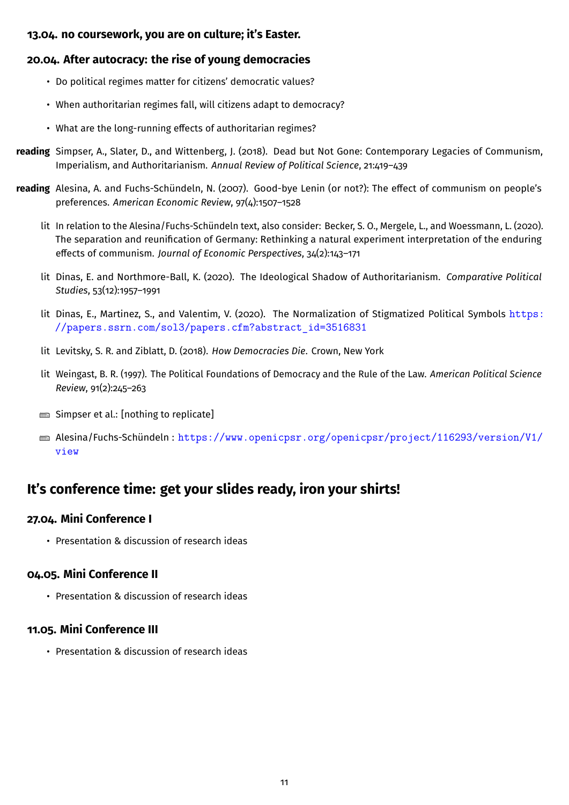## <span id="page-10-0"></span>**13.04. no coursework, you are on culture; it's Easter.**

# <span id="page-10-1"></span>**20.04. After autocracy: the rise of young democracies**

- Do political regimes matter for citizens' democratic values?
- When authoritarian regimes fall, will citizens adapt to democracy?
- What are the long-running effects of authoritarian regimes?
- **reading** Simpser, A., Slater, D., and Wittenberg, J. (2018). Dead but Not Gone: Contemporary Legacies of Communism, Imperialism, and Authoritarianism. *Annual Review of Political Science*, 21:419–439
- **reading** Alesina, A. and Fuchs-Schündeln, N. (2007). Good-bye Lenin (or not?): The effect of communism on people's preferences. *American Economic Review*, 97(4):1507–1528
	- lit In relation to the Alesina/Fuchs-Schündeln text, also consider: Becker, S. O., Mergele, L., and Woessmann, L. (2020). The separation and reunification of Germany: Rethinking a natural experiment interpretation of the enduring effects of communism. *Journal of Economic Perspectives*, 34(2):143–171
	- lit Dinas, E. and Northmore-Ball, K. (2020). The Ideological Shadow of Authoritarianism. *Comparative Political Studies*, 53(12):1957–1991
	- lit Dinas, E., Martinez, S., and Valentim, V. (2020). The Normalization of Stigmatized Political Symbols [https:](https://papers.ssrn.com/sol3/papers.cfm?abstract_id=3516831) [//papers.ssrn.com/sol3/papers.cfm?abstract\\_id=3516831](https://papers.ssrn.com/sol3/papers.cfm?abstract_id=3516831)
	- lit Levitsky, S. R. and Ziblatt, D. (2018). *How Democracies Die*. Crown, New York
	- lit Weingast, B. R. (1997). The Political Foundations of Democracy and the Rule of the Law. *American Political Science Review*, 91(2):245–263
	- $\equiv$  Simpser et al.: [nothing to replicate]
	- $\equiv$  Alesina/Fuchs-Schündeln: [https://www.openicpsr.org/openicpsr/project/116293/version/V1/](https://www.openicpsr.org/openicpsr/project/116293/version/V1/view) [view](https://www.openicpsr.org/openicpsr/project/116293/version/V1/view)

# <span id="page-10-2"></span>**It's conference time: get your slides ready, iron your shirts!**

# <span id="page-10-3"></span>**27.04. Mini Conference I**

• Presentation & discussion of research ideas

# <span id="page-10-4"></span>**04.05. Mini Conference II**

• Presentation & discussion of research ideas

# <span id="page-10-5"></span>**11.05. Mini Conference III**

• Presentation & discussion of research ideas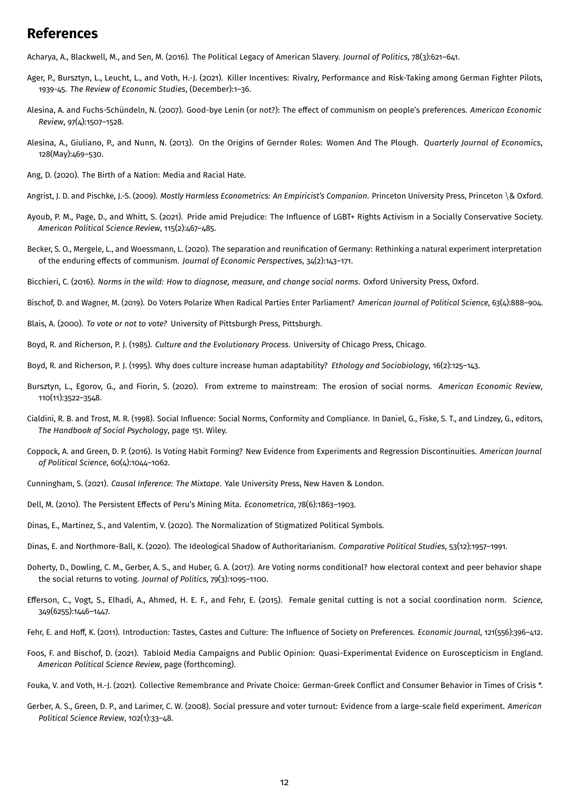# **References**

Acharya, A., Blackwell, M., and Sen, M. (2016). The Political Legacy of American Slavery. *Journal of Politics*, 78(3):621–641.

- Ager, P., Bursztyn, L., Leucht, L., and Voth, H.-J. (2021). Killer Incentives: Rivalry, Performance and Risk-Taking among German Fighter Pilots, 1939-45. *The Review of Economic Studies*, (December):1–36.
- Alesina, A. and Fuchs-Schündeln, N. (2007). Good-bye Lenin (or not?): The effect of communism on people's preferences. *American Economic Review*, 97(4):1507–1528.
- Alesina, A., Giuliano, P., and Nunn, N. (2013). On the Origins of Gernder Roles: Women And The Plough. *Quarterly Journal of Economics*, 128(May):469–530.
- Ang, D. (2020). The Birth of a Nation: Media and Racial Hate.
- Angrist, J. D. and Pischke, J.-S. (2009). *Mostly Harmless Econometrics: An Empiricist's Companion*. Princeton University Press, Princeton \& Oxford.
- Ayoub, P. M., Page, D., and Whitt, S. (2021). Pride amid Prejudice: The Influence of LGBT+ Rights Activism in a Socially Conservative Society. *American Political Science Review*, 115(2):467–485.
- Becker, S. O., Mergele, L., and Woessmann, L. (2020). The separation and reunification of Germany: Rethinking a natural experiment interpretation of the enduring effects of communism. *Journal of Economic Perspectives*, 34(2):143–171.
- Bicchieri, C. (2016). *Norms in the wild: How to diagnose, measure, and change social norms*. Oxford University Press, Oxford.

Bischof, D. and Wagner, M. (2019). Do Voters Polarize When Radical Parties Enter Parliament? *American Journal of Political Science*, 63(4):888–904.

- Blais, A. (2000). *To vote or not to vote?* University of Pittsburgh Press, Pittsburgh.
- Boyd, R. and Richerson, P. J. (1985). *Culture and the Evolutionary Process*. University of Chicago Press, Chicago.
- Boyd, R. and Richerson, P. J. (1995). Why does culture increase human adaptability? *Ethology and Sociobiology*, 16(2):125–143.
- Bursztyn, L., Egorov, G., and Fiorin, S. (2020). From extreme to mainstream: The erosion of social norms. *American Economic Review*, 110(11):3522–3548.
- Cialdini, R. B. and Trost, M. R. (1998). Social Influence: Social Norms, Conformity and Compliance. In Daniel, G., Fiske, S. T., and Lindzey, G., editors, *The Handbook of Social Psychology*, page 151. Wiley.
- Coppock, A. and Green, D. P. (2016). Is Voting Habit Forming? New Evidence from Experiments and Regression Discontinuities. *American Journal of Political Science*, 60(4):1044–1062.
- Cunningham, S. (2021). *Causal Inference: The Mixtape*. Yale University Press, New Haven & London.
- Dell, M. (2010). The Persistent Effects of Peru's Mining Mita. *Econometrica*, 78(6):1863–1903.
- Dinas, E., Martinez, S., and Valentim, V. (2020). The Normalization of Stigmatized Political Symbols.
- Dinas, E. and Northmore-Ball, K. (2020). The Ideological Shadow of Authoritarianism. *Comparative Political Studies*, 53(12):1957–1991.
- Doherty, D., Dowling, C. M., Gerber, A. S., and Huber, G. A. (2017). Are Voting norms conditional? how electoral context and peer behavior shape the social returns to voting. *Journal of Politics*, 79(3):1095–1100.
- Efferson, C., Vogt, S., Elhadi, A., Ahmed, H. E. F., and Fehr, E. (2015). Female genital cutting is not a social coordination norm. *Science*, 349(6255):1446–1447.
- Fehr, E. and Hoff, K. (2011). Introduction: Tastes, Castes and Culture: The Influence of Society on Preferences. *Economic Journal*, 121(556):396–412.
- Foos, F. and Bischof, D. (2021). Tabloid Media Campaigns and Public Opinion: Quasi-Experimental Evidence on Euroscepticism in England. *American Political Science Review*, page (forthcoming).
- Fouka, V. and Voth, H.-J. (2021). Collective Remembrance and Private Choice: German-Greek Conflict and Consumer Behavior in Times of Crisis \*.
- Gerber, A. S., Green, D. P., and Larimer, C. W. (2008). Social pressure and voter turnout: Evidence from a large-scale field experiment. *American Political Science Review*, 102(1):33–48.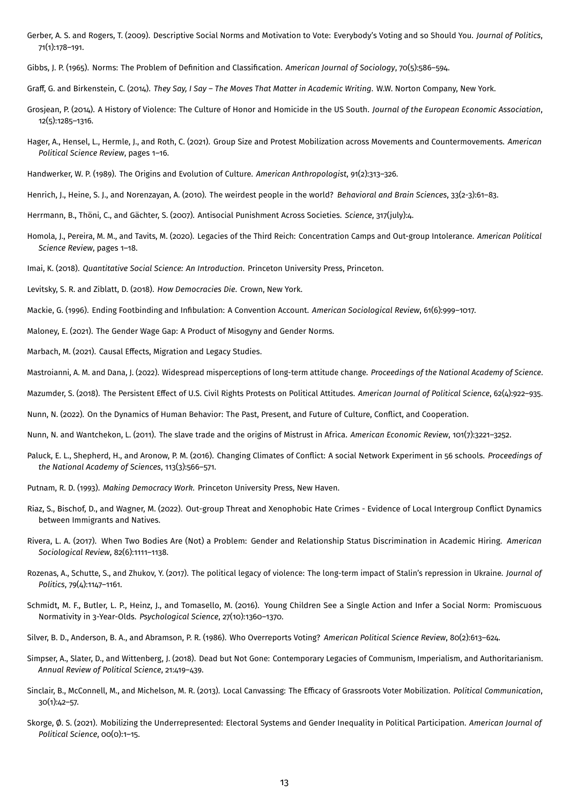Gerber, A. S. and Rogers, T. (2009). Descriptive Social Norms and Motivation to Vote: Everybody's Voting and so Should You. *Journal of Politics*, 71(1):178–191.

Gibbs, J. P. (1965). Norms: The Problem of Definition and Classification. *American Journal of Sociology*, 70(5):586–594.

Graff, G. and Birkenstein, C. (2014). *They Say, I Say – The Moves That Matter in Academic Writing*. W.W. Norton Company, New York.

- Grosjean, P. (2014). A History of Violence: The Culture of Honor and Homicide in the US South. *Journal of the European Economic Association*, 12(5):1285–1316.
- Hager, A., Hensel, L., Hermle, J., and Roth, C. (2021). Group Size and Protest Mobilization across Movements and Countermovements. *American Political Science Review*, pages 1–16.
- Handwerker, W. P. (1989). The Origins and Evolution of Culture. *American Anthropologist*, 91(2):313–326.
- Henrich, J., Heine, S. J., and Norenzayan, A. (2010). The weirdest people in the world? *Behavioral and Brain Sciences*, 33(2-3):61–83.
- Herrmann, B., Thöni, C., and Gächter, S. (2007). Antisocial Punishment Across Societies. *Science*, 317(july):4.
- Homola, J., Pereira, M. M., and Tavits, M. (2020). Legacies of the Third Reich: Concentration Camps and Out-group Intolerance. *American Political Science Review*, pages 1–18.
- Imai, K. (2018). *Quantitative Social Science: An Introduction*. Princeton University Press, Princeton.
- Levitsky, S. R. and Ziblatt, D. (2018). *How Democracies Die*. Crown, New York.
- Mackie, G. (1996). Ending Footbinding and Infibulation: A Convention Account. *American Sociological Review*, 61(6):999–1017.
- Maloney, E. (2021). The Gender Wage Gap: A Product of Misogyny and Gender Norms.
- Marbach, M. (2021). Causal Effects, Migration and Legacy Studies.
- Mastroianni, A. M. and Dana, J. (2022). Widespread misperceptions of long-term attitude change. *Proceedings of the National Academy of Science*.
- Mazumder, S. (2018). The Persistent Effect of U.S. Civil Rights Protests on Political Attitudes. *American Journal of Political Science*, 62(4):922–935.
- Nunn, N. (2022). On the Dynamics of Human Behavior: The Past, Present, and Future of Culture, Conflict, and Cooperation.
- Nunn, N. and Wantchekon, L. (2011). The slave trade and the origins of Mistrust in Africa. *American Economic Review*, 101(7):3221–3252.
- Paluck, E. L., Shepherd, H., and Aronow, P. M. (2016). Changing Climates of Conflict: A social Network Experiment in 56 schools. *Proceedings of the National Academy of Sciences*, 113(3):566–571.
- Putnam, R. D. (1993). *Making Democracy Work*. Princeton University Press, New Haven.
- Riaz, S., Bischof, D., and Wagner, M. (2022). Out-group Threat and Xenophobic Hate Crimes Evidence of Local Intergroup Conflict Dynamics between Immigrants and Natives.
- Rivera, L. A. (2017). When Two Bodies Are (Not) a Problem: Gender and Relationship Status Discrimination in Academic Hiring. *American Sociological Review*, 82(6):1111–1138.
- Rozenas, A., Schutte, S., and Zhukov, Y. (2017). The political legacy of violence: The long-term impact of Stalin's repression in Ukraine. *Journal of Politics*, 79(4):1147–1161.
- Schmidt, M. F., Butler, L. P., Heinz, J., and Tomasello, M. (2016). Young Children See a Single Action and Infer a Social Norm: Promiscuous Normativity in 3-Year-Olds. *Psychological Science*, 27(10):1360–1370.
- Silver, B. D., Anderson, B. A., and Abramson, P. R. (1986). Who Overreports Voting? *American Political Science Review*, 80(2):613–624.
- Simpser, A., Slater, D., and Wittenberg, J. (2018). Dead but Not Gone: Contemporary Legacies of Communism, Imperialism, and Authoritarianism. *Annual Review of Political Science*, 21:419–439.
- Sinclair, B., McConnell, M., and Michelson, M. R. (2013). Local Canvassing: The Efficacy of Grassroots Voter Mobilization. *Political Communication*, 30(1):42–57.
- Skorge, Ø. S. (2021). Mobilizing the Underrepresented: Electoral Systems and Gender Inequality in Political Participation. *American Journal of Political Science*, 00(0):1–15.